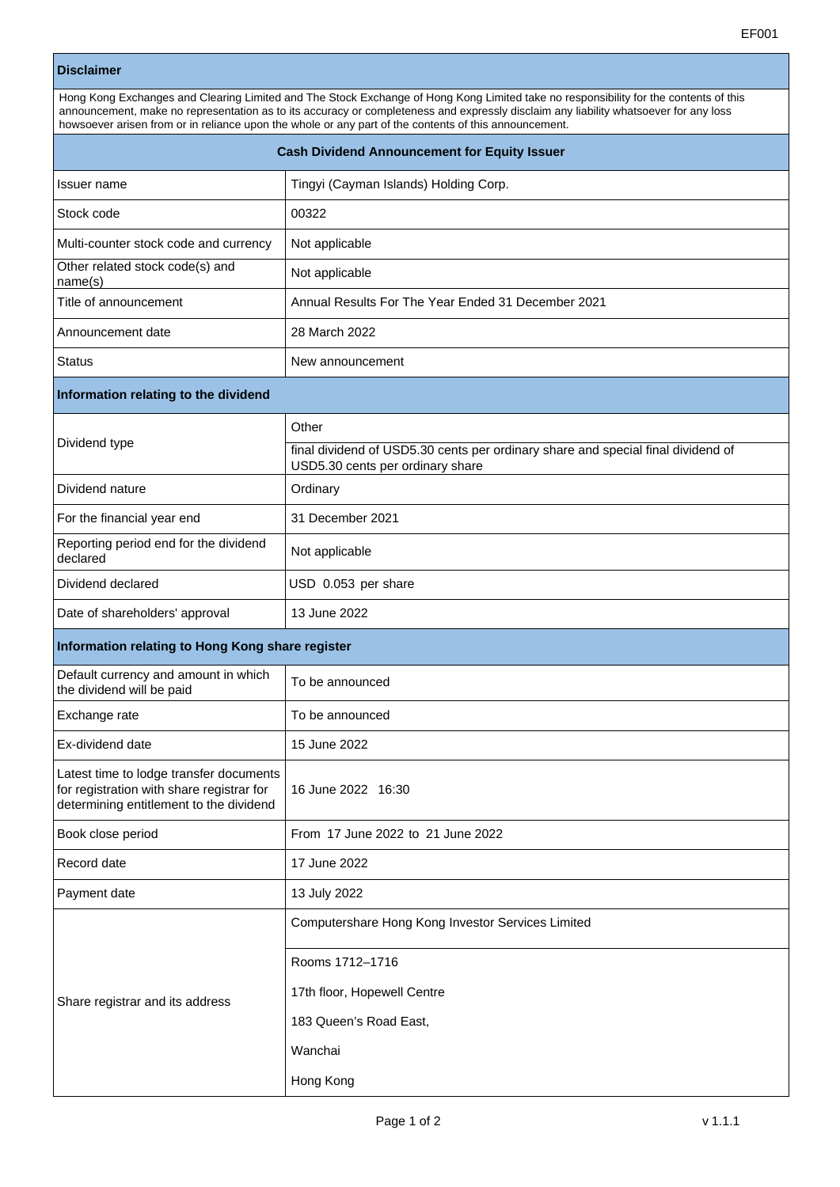## **Disclaimer**

| Hong Kong Exchanges and Clearing Limited and The Stock Exchange of Hong Kong Limited take no responsibility for the contents of this<br>announcement, make no representation as to its accuracy or completeness and expressly disclaim any liability whatsoever for any loss<br>howsoever arisen from or in reliance upon the whole or any part of the contents of this announcement. |                                                                                                                      |  |
|---------------------------------------------------------------------------------------------------------------------------------------------------------------------------------------------------------------------------------------------------------------------------------------------------------------------------------------------------------------------------------------|----------------------------------------------------------------------------------------------------------------------|--|
| <b>Cash Dividend Announcement for Equity Issuer</b>                                                                                                                                                                                                                                                                                                                                   |                                                                                                                      |  |
| Issuer name                                                                                                                                                                                                                                                                                                                                                                           | Tingyi (Cayman Islands) Holding Corp.                                                                                |  |
| Stock code                                                                                                                                                                                                                                                                                                                                                                            | 00322                                                                                                                |  |
| Multi-counter stock code and currency                                                                                                                                                                                                                                                                                                                                                 | Not applicable                                                                                                       |  |
| Other related stock code(s) and<br>name(s)                                                                                                                                                                                                                                                                                                                                            | Not applicable                                                                                                       |  |
| Title of announcement                                                                                                                                                                                                                                                                                                                                                                 | Annual Results For The Year Ended 31 December 2021                                                                   |  |
| Announcement date                                                                                                                                                                                                                                                                                                                                                                     | 28 March 2022                                                                                                        |  |
| <b>Status</b>                                                                                                                                                                                                                                                                                                                                                                         | New announcement                                                                                                     |  |
| Information relating to the dividend                                                                                                                                                                                                                                                                                                                                                  |                                                                                                                      |  |
| Dividend type                                                                                                                                                                                                                                                                                                                                                                         | Other                                                                                                                |  |
|                                                                                                                                                                                                                                                                                                                                                                                       | final dividend of USD5.30 cents per ordinary share and special final dividend of<br>USD5.30 cents per ordinary share |  |
| Dividend nature                                                                                                                                                                                                                                                                                                                                                                       | Ordinary                                                                                                             |  |
| For the financial year end                                                                                                                                                                                                                                                                                                                                                            | 31 December 2021                                                                                                     |  |
| Reporting period end for the dividend<br>declared                                                                                                                                                                                                                                                                                                                                     | Not applicable                                                                                                       |  |
| Dividend declared                                                                                                                                                                                                                                                                                                                                                                     | USD 0.053 per share                                                                                                  |  |
| Date of shareholders' approval                                                                                                                                                                                                                                                                                                                                                        | 13 June 2022                                                                                                         |  |
| Information relating to Hong Kong share register                                                                                                                                                                                                                                                                                                                                      |                                                                                                                      |  |
| Default currency and amount in which<br>the dividend will be paid                                                                                                                                                                                                                                                                                                                     | To be announced                                                                                                      |  |
| Exchange rate                                                                                                                                                                                                                                                                                                                                                                         | To be announced                                                                                                      |  |
| Ex-dividend date                                                                                                                                                                                                                                                                                                                                                                      | 15 June 2022                                                                                                         |  |
| Latest time to lodge transfer documents<br>for registration with share registrar for<br>determining entitlement to the dividend                                                                                                                                                                                                                                                       | 16 June 2022 16:30                                                                                                   |  |
| Book close period                                                                                                                                                                                                                                                                                                                                                                     | From 17 June 2022 to 21 June 2022                                                                                    |  |
| Record date                                                                                                                                                                                                                                                                                                                                                                           | 17 June 2022                                                                                                         |  |
| Payment date                                                                                                                                                                                                                                                                                                                                                                          | 13 July 2022                                                                                                         |  |
| Share registrar and its address                                                                                                                                                                                                                                                                                                                                                       | Computershare Hong Kong Investor Services Limited                                                                    |  |
|                                                                                                                                                                                                                                                                                                                                                                                       | Rooms 1712-1716                                                                                                      |  |
|                                                                                                                                                                                                                                                                                                                                                                                       | 17th floor, Hopewell Centre                                                                                          |  |
|                                                                                                                                                                                                                                                                                                                                                                                       | 183 Queen's Road East,                                                                                               |  |
|                                                                                                                                                                                                                                                                                                                                                                                       | Wanchai                                                                                                              |  |
|                                                                                                                                                                                                                                                                                                                                                                                       | Hong Kong                                                                                                            |  |